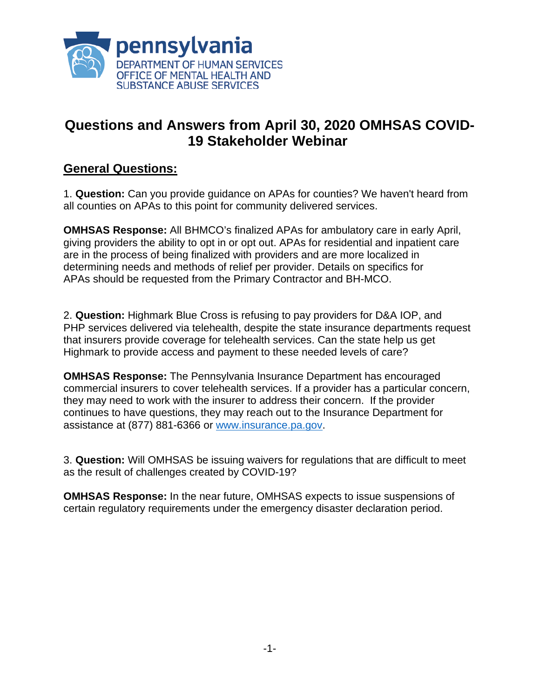

## **Questions and Answers from April 30, 2020 OMHSAS COVID-19 Stakeholder Webinar**

## **General Questions:**

1. **Question:** Can you provide guidance on APAs for counties? We haven't heard from all counties on APAs to this point for community delivered services.

**OMHSAS Response:** All BHMCO's finalized APAs for ambulatory care in early April, giving providers the ability to opt in or opt out. APAs for residential and inpatient care are in the process of being finalized with providers and are more localized in determining needs and methods of relief per provider. Details on specifics for APAs should be requested from the Primary Contractor and BH-MCO.

2. **Question:** Highmark Blue Cross is refusing to pay providers for D&A IOP, and PHP services delivered via telehealth, despite the state insurance departments request that insurers provide coverage for telehealth services. Can the state help us get Highmark to provide access and payment to these needed levels of care?

**OMHSAS Response:** The Pennsylvania Insurance Department has encouraged commercial insurers to cover telehealth services. If a provider has a particular concern, they may need to work with the insurer to address their concern. If the provider continues to have questions, they may reach out to the Insurance Department for assistance at (877) 881-6366 or [www.insurance.pa.gov.](http://www.insurance.pa.gov/)

3. **Question:** Will OMHSAS be issuing waivers for regulations that are difficult to meet as the result of challenges created by COVID-19?

**OMHSAS Response:** In the near future, OMHSAS expects to issue suspensions of certain regulatory requirements under the emergency disaster declaration period.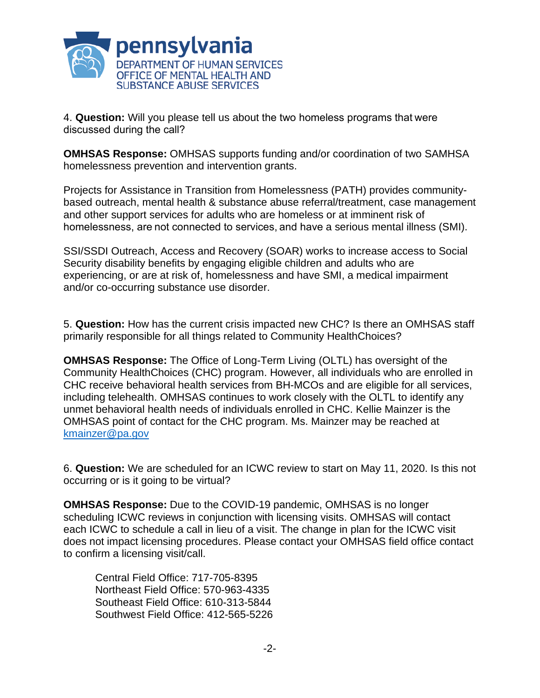

4. **Question:** Will you please tell us about the two homeless programs that were discussed during the call? 

**OMHSAS Response:** OMHSAS supports funding and/or coordination of two SAMHSA homelessness prevention and intervention grants.

Projects for Assistance in Transition from Homelessness (PATH) provides communitybased outreach, mental health & substance abuse referral/treatment, case management and other support services for adults who are homeless or at imminent risk of homelessness, are not connected to services, and have a serious mental illness (SMI).

SSI/SSDI Outreach, Access and Recovery (SOAR) works to increase access to Social Security disability benefits by engaging eligible children and adults who are experiencing, or are at risk of, homelessness and have SMI, a medical impairment and/or co-occurring substance use disorder.

5. **Question:** How has the current crisis impacted new CHC? Is there an OMHSAS staff primarily responsible for all things related to Community HealthChoices?

**OMHSAS Response:** The Office of Long-Term Living (OLTL) has oversight of the Community HealthChoices (CHC) program. However, all individuals who are enrolled in CHC receive behavioral health services from BH-MCOs and are eligible for all services, including telehealth. OMHSAS continues to work closely with the OLTL to identify any unmet behavioral health needs of individuals enrolled in CHC. Kellie Mainzer is the OMHSAS point of contact for the CHC program. Ms. Mainzer may be reached at [kmainzer@pa.gov](mailto:kmainzer@pa.gov) 

6. **Question:** We are scheduled for an ICWC review to start on May 11, 2020. Is this not occurring or is it going to be virtual?

**OMHSAS Response:** Due to the COVID-19 pandemic, OMHSAS is no longer scheduling ICWC reviews in conjunction with licensing visits. OMHSAS will contact each ICWC to schedule a call in lieu of a visit. The change in plan for the ICWC visit does not impact licensing procedures. Please contact your OMHSAS field office contact to confirm a licensing visit/call.

Central Field Office: 717-705-8395 Northeast Field Office: 570-963-4335 Southeast Field Office: 610-313-5844 Southwest Field Office: 412-565-5226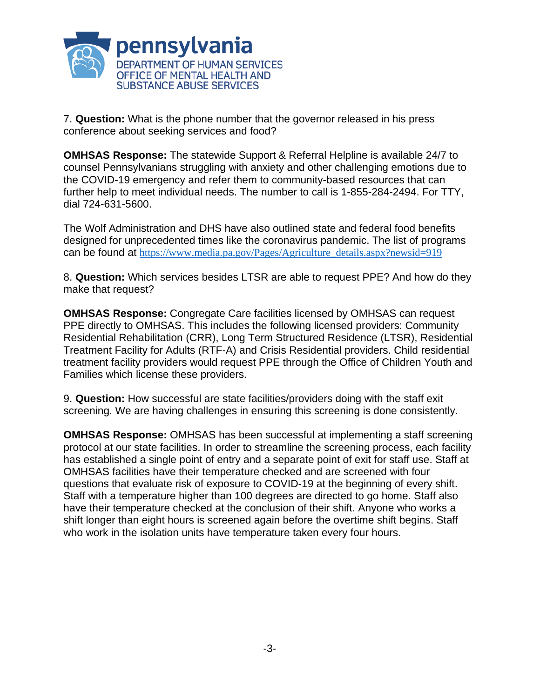

7. **Question:** What is the phone number that the governor released in his press conference about seeking services and food?

**OMHSAS Response:** The statewide Support & Referral Helpline is available 24/7 to counsel Pennsylvanians struggling with anxiety and other challenging emotions due to the COVID-19 emergency and refer them to community-based resources that can further help to meet individual needs. The number to call is 1-855-284-2494. For TTY, dial 724-631-5600.

The Wolf Administration and DHS have also outlined state and federal food benefits designed for unprecedented times like the coronavirus pandemic. The list of programs can be found at [https://www.media.pa.gov/Pages/Agriculture\\_details.aspx?newsid=919](https://www.media.pa.gov/Pages/Agriculture_details.aspx?newsid=919)

8. **Question:** Which services besides LTSR are able to request PPE? And how do they make that request?

**OMHSAS Response:** Congregate Care facilities licensed by OMHSAS can request PPE directly to OMHSAS. This includes the following licensed providers: Community Residential Rehabilitation (CRR), Long Term Structured Residence (LTSR), Residential Treatment Facility for Adults (RTF-A) and Crisis Residential providers. Child residential treatment facility providers would request PPE through the Office of Children Youth and Families which license these providers.

9. **Question:** How successful are state facilities/providers doing with the staff exit screening. We are having challenges in ensuring this screening is done consistently.

**OMHSAS Response:** OMHSAS has been successful at implementing a staff screening protocol at our state facilities. In order to streamline the screening process, each facility has established a single point of entry and a separate point of exit for staff use. Staff at OMHSAS facilities have their temperature checked and are screened with four questions that evaluate risk of exposure to COVID-19 at the beginning of every shift. Staff with a temperature higher than 100 degrees are directed to go home. Staff also have their temperature checked at the conclusion of their shift. Anyone who works a shift longer than eight hours is screened again before the overtime shift begins. Staff who work in the isolation units have temperature taken every four hours.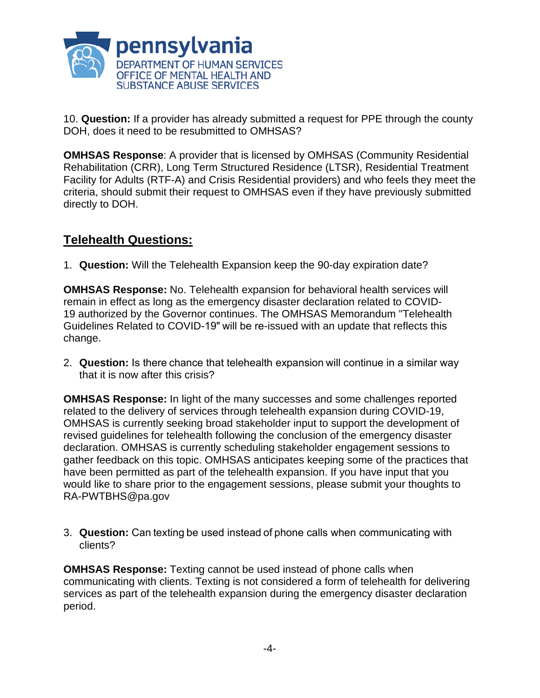

10. **Question:** If a provider has already submitted a request for PPE through the county DOH, does it need to be resubmitted to OMHSAS?

**OMHSAS Response**: A provider that is licensed by OMHSAS (Community Residential Rehabilitation (CRR), Long Term Structured Residence (LTSR), Residential Treatment Facility for Adults (RTF-A) and Crisis Residential providers) and who feels they meet the criteria, should submit their request to OMHSAS even if they have previously submitted directly to DOH.

## **Telehealth Questions:**

1. **Question:** Will the Telehealth Expansion keep the 90-day expiration date?

**OMHSAS Response:** No. Telehealth expansion for behavioral health services will remain in effect as long as the emergency disaster declaration related to COVID-19 authorized by the Governor continues. The OMHSAS Memorandum "Telehealth Guidelines Related to COVID-19" will be re-issued with an update that reflects this change.

2. **Question:** Is there chance that telehealth expansion will continue in a similar way that it is now after this crisis?

**OMHSAS Response:** In light of the many successes and some challenges reported related to the delivery of services through telehealth expansion during COVID-19, OMHSAS is currently seeking broad stakeholder input to support the development of revised guidelines for telehealth following the conclusion of the emergency disaster declaration. OMHSAS is currently scheduling stakeholder engagement sessions to gather feedback on this topic. OMHSAS anticipates keeping some of the practices that have been permitted as part of the telehealth expansion. If you have input that you would like to share prior to the engagement sessions, please submit your thoughts to RA-PWTBHS@pa.gov

3. **Question:** Can texting be used instead of phone calls when communicating with clients?

**OMHSAS Response:** Texting cannot be used instead of phone calls when communicating with clients. Texting is not considered a form of telehealth for delivering services as part of the telehealth expansion during the emergency disaster declaration period.